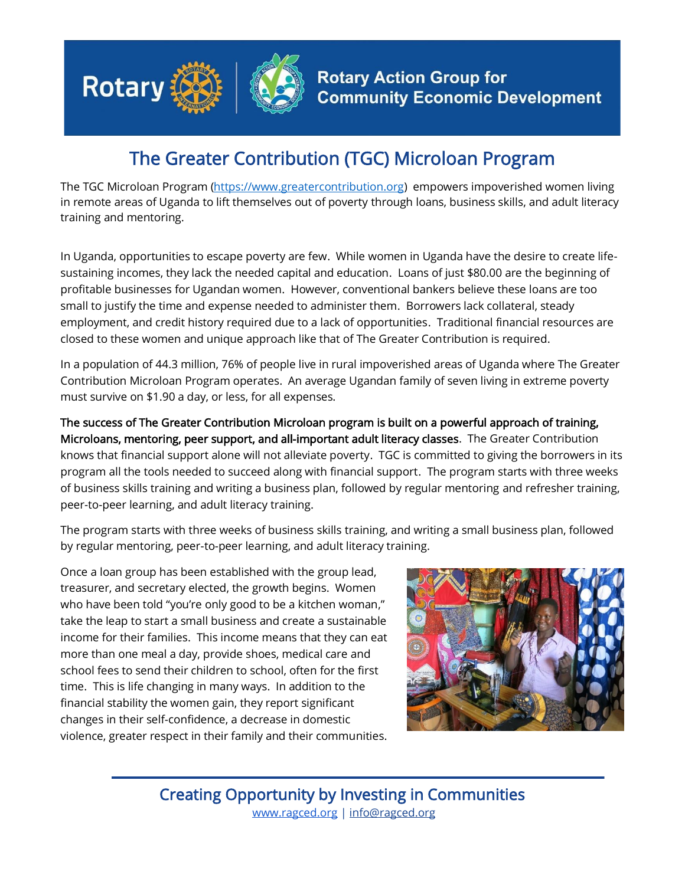

## The Greater Contribution (TGC) Microloan Program

The TGC Microloan Program [\(https://www.greatercontribution.org\)](https://www.greatercontribution.org/) empowers impoverished women living in remote areas of Uganda to lift themselves out of poverty through loans, business skills, and adult literacy training and mentoring.

In Uganda, opportunities to escape poverty are few. While women in Uganda have the desire to create lifesustaining incomes, they lack the needed capital and education. Loans of just \$80.00 are the beginning of profitable businesses for Ugandan women. However, conventional bankers believe these loans are too small to justify the time and expense needed to administer them. Borrowers lack collateral, steady employment, and credit history required due to a lack of opportunities. Traditional financial resources are closed to these women and unique approach like that of The Greater Contribution is required.

In a population of 44.3 million, 76% of people live in rural impoverished areas of Uganda where The Greater Contribution Microloan Program operates. An average Ugandan family of seven living in extreme poverty must survive on \$1.90 a day, or less, for all expenses.

The success of The Greater Contribution Microloan program is built on a powerful approach of training, Microloans, mentoring, peer support, and all-important adult literacy classes. The Greater Contribution knows that financial support alone will not alleviate poverty. TGC is committed to giving the borrowers in its program all the tools needed to succeed along with financial support. The program starts with three weeks of business skills training and writing a business plan, followed by regular mentoring and refresher training, peer-to-peer learning, and adult literacy training.

The program starts with three weeks of business skills training, and writing a small business plan, followed by regular mentoring, peer-to-peer learning, and adult literacy training.

Once a loan group has been established with the group lead, treasurer, and secretary elected, the growth begins. Women who have been told "you're only good to be a kitchen woman," take the leap to start a small business and create a sustainable income for their families. This income means that they can eat more than one meal a day, provide shoes, medical care and school fees to send their children to school, often for the first time. This is life changing in many ways. In addition to the financial stability the women gain, they report significant changes in their self-confidence, a decrease in domestic violence, greater respect in their family and their communities.



Creating Opportunity by Investing in Communities [www.ragced.org](http://www.ragced.org/) | info@ragced.org